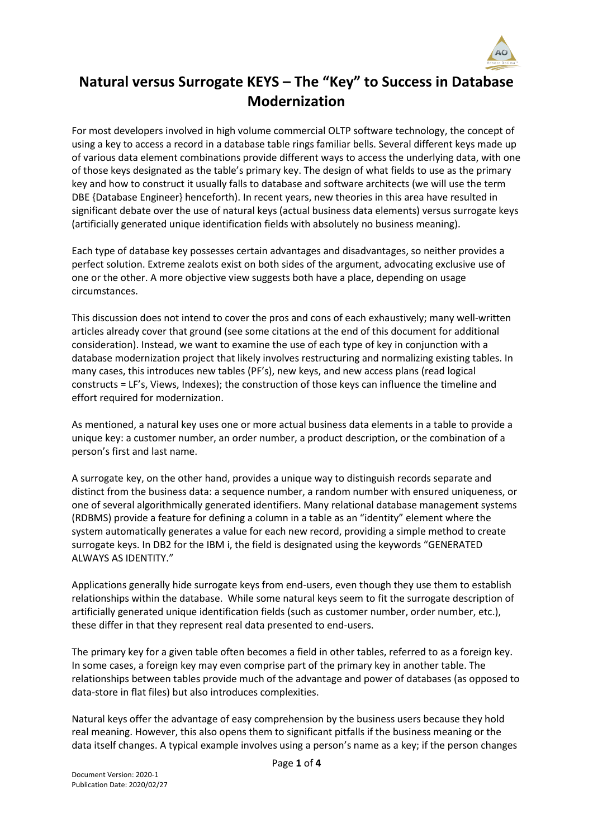

## **Natural versus Surrogate KEYS – The "Key" to Success in Database Modernization**

For most developers involved in high volume commercial OLTP software technology, the concept of using a key to access a record in a database table rings familiar bells. Several different keys made up of various data element combinations provide different ways to access the underlying data, with one of those keys designated as the table's primary key. The design of what fields to use as the primary key and how to construct it usually falls to database and software architects (we will use the term DBE {Database Engineer} henceforth). In recent years, new theories in this area have resulted in significant debate over the use of natural keys (actual business data elements) versus surrogate keys (artificially generated unique identification fields with absolutely no business meaning).

Each type of database key possesses certain advantages and disadvantages, so neither provides a perfect solution. Extreme zealots exist on both sides of the argument, advocating exclusive use of one or the other. A more objective view suggests both have a place, depending on usage circumstances.

This discussion does not intend to cover the pros and cons of each exhaustively; many well-written articles already cover that ground (see some citations at the end of this document for additional consideration). Instead, we want to examine the use of each type of key in conjunction with a database modernization project that likely involves restructuring and normalizing existing tables. In many cases, this introduces new tables (PF's), new keys, and new access plans (read logical constructs = LF's, Views, Indexes); the construction of those keys can influence the timeline and effort required for modernization.

As mentioned, a natural key uses one or more actual business data elements in a table to provide a unique key: a customer number, an order number, a product description, or the combination of a person's first and last name.

A surrogate key, on the other hand, provides a unique way to distinguish records separate and distinct from the business data: a sequence number, a random number with ensured uniqueness, or one of several algorithmically generated identifiers. Many relational database management systems (RDBMS) provide a feature for defining a column in a table as an "identity" element where the system automatically generates a value for each new record, providing a simple method to create surrogate keys. In DB2 for the IBM i, the field is designated using the keywords "GENERATED ALWAYS AS IDENTITY."

Applications generally hide surrogate keys from end-users, even though they use them to establish relationships within the database. While some natural keys seem to fit the surrogate description of artificially generated unique identification fields (such as customer number, order number, etc.), these differ in that they represent real data presented to end-users.

The primary key for a given table often becomes a field in other tables, referred to as a foreign key. In some cases, a foreign key may even comprise part of the primary key in another table. The relationships between tables provide much of the advantage and power of databases (as opposed to data-store in flat files) but also introduces complexities.

Natural keys offer the advantage of easy comprehension by the business users because they hold real meaning. However, this also opens them to significant pitfalls if the business meaning or the data itself changes. A typical example involves using a person's name as a key; if the person changes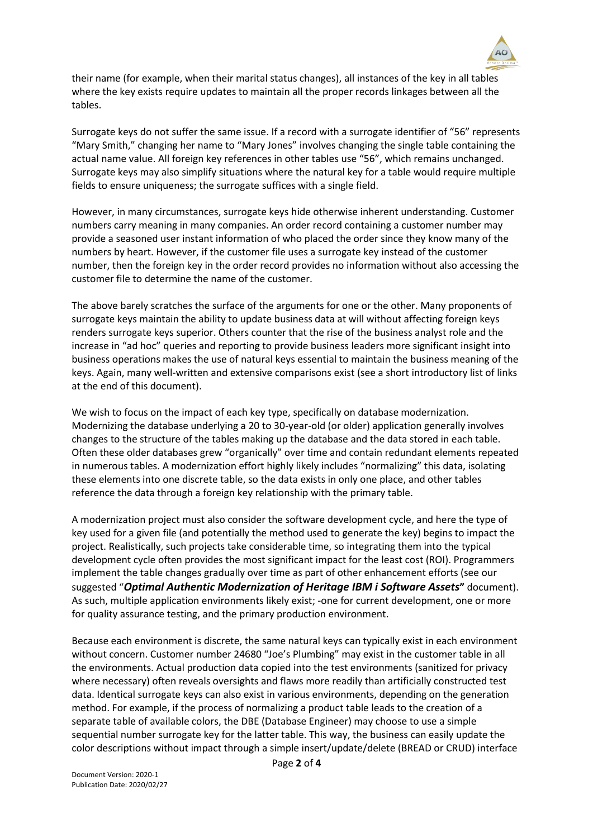

their name (for example, when their marital status changes), all instances of the key in all tables where the key exists require updates to maintain all the proper records linkages between all the tables.

Surrogate keys do not suffer the same issue. If a record with a surrogate identifier of "56" represents "Mary Smith," changing her name to "Mary Jones" involves changing the single table containing the actual name value. All foreign key references in other tables use "56", which remains unchanged. Surrogate keys may also simplify situations where the natural key for a table would require multiple fields to ensure uniqueness; the surrogate suffices with a single field.

However, in many circumstances, surrogate keys hide otherwise inherent understanding. Customer numbers carry meaning in many companies. An order record containing a customer number may provide a seasoned user instant information of who placed the order since they know many of the numbers by heart. However, if the customer file uses a surrogate key instead of the customer number, then the foreign key in the order record provides no information without also accessing the customer file to determine the name of the customer.

The above barely scratches the surface of the arguments for one or the other. Many proponents of surrogate keys maintain the ability to update business data at will without affecting foreign keys renders surrogate keys superior. Others counter that the rise of the business analyst role and the increase in "ad hoc" queries and reporting to provide business leaders more significant insight into business operations makes the use of natural keys essential to maintain the business meaning of the keys. Again, many well-written and extensive comparisons exist (see a short introductory list of links at the end of this document).

We wish to focus on the impact of each key type, specifically on database modernization. Modernizing the database underlying a 20 to 30-year-old (or older) application generally involves changes to the structure of the tables making up the database and the data stored in each table. Often these older databases grew "organically" over time and contain redundant elements repeated in numerous tables. A modernization effort highly likely includes "normalizing" this data, isolating these elements into one discrete table, so the data exists in only one place, and other tables reference the data through a foreign key relationship with the primary table.

A modernization project must also consider the software development cycle, and here the type of key used for a given file (and potentially the method used to generate the key) begins to impact the project. Realistically, such projects take considerable time, so integrating them into the typical development cycle often provides the most significant impact for the least cost (ROI). Programmers implement the table changes gradually over time as part of other enhancement efforts (see our suggested "*Optimal Authentic Modernization of Heritage IBM i Software Assets***"** document). As such, multiple application environments likely exist; -one for current development, one or more for quality assurance testing, and the primary production environment.

Because each environment is discrete, the same natural keys can typically exist in each environment without concern. Customer number 24680 "Joe's Plumbing" may exist in the customer table in all the environments. Actual production data copied into the test environments (sanitized for privacy where necessary) often reveals oversights and flaws more readily than artificially constructed test data. Identical surrogate keys can also exist in various environments, depending on the generation method. For example, if the process of normalizing a product table leads to the creation of a separate table of available colors, the DBE (Database Engineer) may choose to use a simple sequential number surrogate key for the latter table. This way, the business can easily update the color descriptions without impact through a simple insert/update/delete (BREAD or CRUD) interface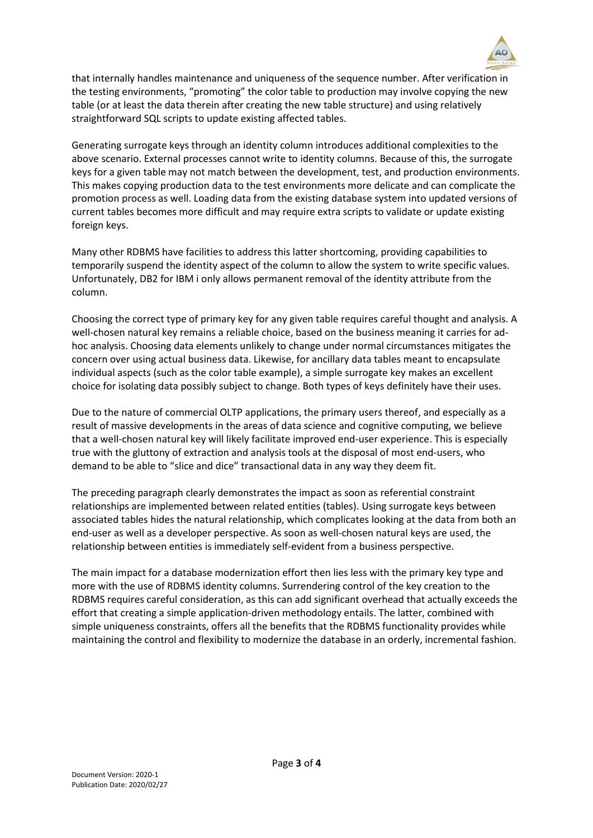

that internally handles maintenance and uniqueness of the sequence number. After verification in the testing environments, "promoting" the color table to production may involve copying the new table (or at least the data therein after creating the new table structure) and using relatively straightforward SQL scripts to update existing affected tables.

Generating surrogate keys through an identity column introduces additional complexities to the above scenario. External processes cannot write to identity columns. Because of this, the surrogate keys for a given table may not match between the development, test, and production environments. This makes copying production data to the test environments more delicate and can complicate the promotion process as well. Loading data from the existing database system into updated versions of current tables becomes more difficult and may require extra scripts to validate or update existing foreign keys.

Many other RDBMS have facilities to address this latter shortcoming, providing capabilities to temporarily suspend the identity aspect of the column to allow the system to write specific values. Unfortunately, DB2 for IBM i only allows permanent removal of the identity attribute from the column.

Choosing the correct type of primary key for any given table requires careful thought and analysis. A well-chosen natural key remains a reliable choice, based on the business meaning it carries for adhoc analysis. Choosing data elements unlikely to change under normal circumstances mitigates the concern over using actual business data. Likewise, for ancillary data tables meant to encapsulate individual aspects (such as the color table example), a simple surrogate key makes an excellent choice for isolating data possibly subject to change. Both types of keys definitely have their uses.

Due to the nature of commercial OLTP applications, the primary users thereof, and especially as a result of massive developments in the areas of data science and cognitive computing, we believe that a well-chosen natural key will likely facilitate improved end-user experience. This is especially true with the gluttony of extraction and analysis tools at the disposal of most end-users, who demand to be able to "slice and dice" transactional data in any way they deem fit.

The preceding paragraph clearly demonstrates the impact as soon as referential constraint relationships are implemented between related entities (tables). Using surrogate keys between associated tables hides the natural relationship, which complicates looking at the data from both an end-user as well as a developer perspective. As soon as well-chosen natural keys are used, the relationship between entities is immediately self-evident from a business perspective.

The main impact for a database modernization effort then lies less with the primary key type and more with the use of RDBMS identity columns. Surrendering control of the key creation to the RDBMS requires careful consideration, as this can add significant overhead that actually exceeds the effort that creating a simple application-driven methodology entails. The latter, combined with simple uniqueness constraints, offers all the benefits that the RDBMS functionality provides while maintaining the control and flexibility to modernize the database in an orderly, incremental fashion.